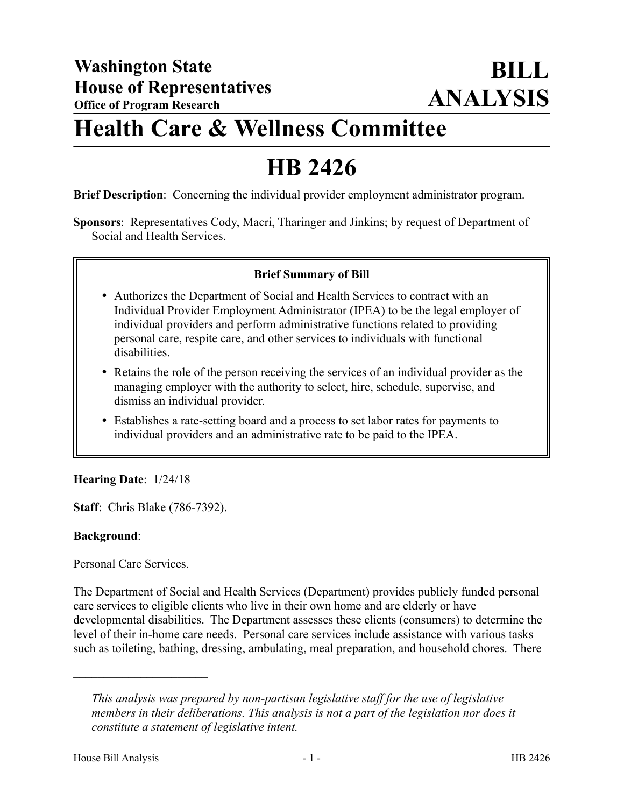# **Health Care & Wellness Committee**

# **HB 2426**

**Brief Description**: Concerning the individual provider employment administrator program.

**Sponsors**: Representatives Cody, Macri, Tharinger and Jinkins; by request of Department of Social and Health Services.

## **Brief Summary of Bill**

- Authorizes the Department of Social and Health Services to contract with an Individual Provider Employment Administrator (IPEA) to be the legal employer of individual providers and perform administrative functions related to providing personal care, respite care, and other services to individuals with functional disabilities.
- Retains the role of the person receiving the services of an individual provider as the managing employer with the authority to select, hire, schedule, supervise, and dismiss an individual provider.
- Establishes a rate-setting board and a process to set labor rates for payments to individual providers and an administrative rate to be paid to the IPEA.

## **Hearing Date**: 1/24/18

**Staff**: Chris Blake (786-7392).

## **Background**:

## Personal Care Services.

––––––––––––––––––––––

The Department of Social and Health Services (Department) provides publicly funded personal care services to eligible clients who live in their own home and are elderly or have developmental disabilities. The Department assesses these clients (consumers) to determine the level of their in-home care needs. Personal care services include assistance with various tasks such as toileting, bathing, dressing, ambulating, meal preparation, and household chores. There

*This analysis was prepared by non-partisan legislative staff for the use of legislative members in their deliberations. This analysis is not a part of the legislation nor does it constitute a statement of legislative intent.*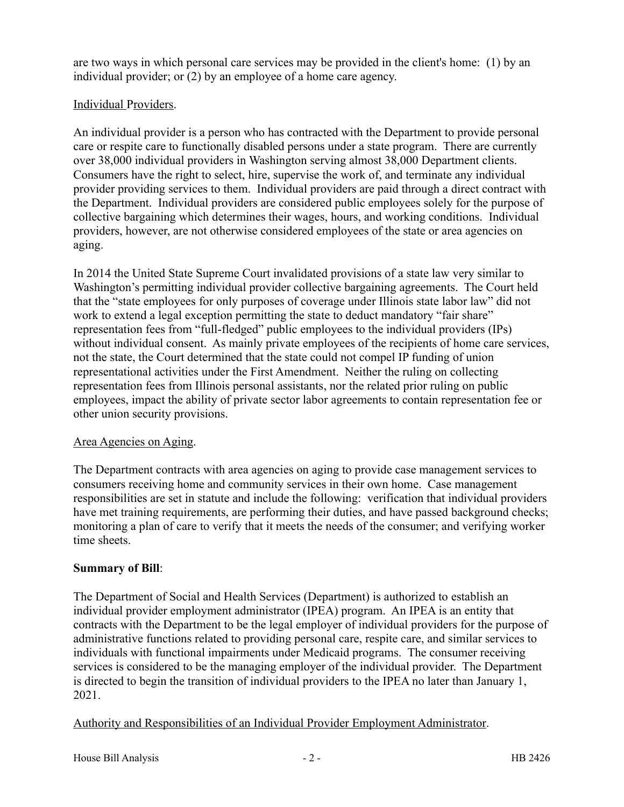are two ways in which personal care services may be provided in the client's home: (1) by an individual provider; or (2) by an employee of a home care agency.

## Individual Providers.

An individual provider is a person who has contracted with the Department to provide personal care or respite care to functionally disabled persons under a state program. There are currently over 38,000 individual providers in Washington serving almost 38,000 Department clients. Consumers have the right to select, hire, supervise the work of, and terminate any individual provider providing services to them. Individual providers are paid through a direct contract with the Department. Individual providers are considered public employees solely for the purpose of collective bargaining which determines their wages, hours, and working conditions. Individual providers, however, are not otherwise considered employees of the state or area agencies on aging.

In 2014 the United State Supreme Court invalidated provisions of a state law very similar to Washington's permitting individual provider collective bargaining agreements. The Court held that the "state employees for only purposes of coverage under Illinois state labor law" did not work to extend a legal exception permitting the state to deduct mandatory "fair share" representation fees from "full-fledged" public employees to the individual providers (IPs) without individual consent. As mainly private employees of the recipients of home care services, not the state, the Court determined that the state could not compel IP funding of union representational activities under the First Amendment. Neither the ruling on collecting representation fees from Illinois personal assistants, nor the related prior ruling on public employees, impact the ability of private sector labor agreements to contain representation fee or other union security provisions.

## Area Agencies on Aging.

The Department contracts with area agencies on aging to provide case management services to consumers receiving home and community services in their own home. Case management responsibilities are set in statute and include the following: verification that individual providers have met training requirements, are performing their duties, and have passed background checks; monitoring a plan of care to verify that it meets the needs of the consumer; and verifying worker time sheets.

# **Summary of Bill**:

The Department of Social and Health Services (Department) is authorized to establish an individual provider employment administrator (IPEA) program. An IPEA is an entity that contracts with the Department to be the legal employer of individual providers for the purpose of administrative functions related to providing personal care, respite care, and similar services to individuals with functional impairments under Medicaid programs. The consumer receiving services is considered to be the managing employer of the individual provider. The Department is directed to begin the transition of individual providers to the IPEA no later than January 1, 2021.

Authority and Responsibilities of an Individual Provider Employment Administrator.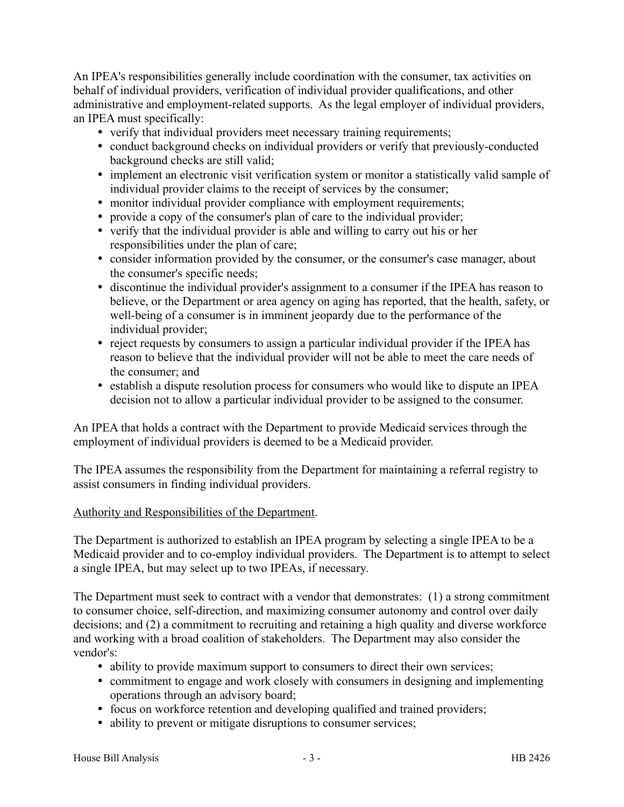An IPEA's responsibilities generally include coordination with the consumer, tax activities on behalf of individual providers, verification of individual provider qualifications, and other administrative and employment-related supports. As the legal employer of individual providers, an IPEA must specifically:

- verify that individual providers meet necessary training requirements;
- conduct background checks on individual providers or verify that previously-conducted background checks are still valid;
- implement an electronic visit verification system or monitor a statistically valid sample of individual provider claims to the receipt of services by the consumer;
- monitor individual provider compliance with employment requirements;
- provide a copy of the consumer's plan of care to the individual provider;
- verify that the individual provider is able and willing to carry out his or her responsibilities under the plan of care;
- consider information provided by the consumer, or the consumer's case manager, about the consumer's specific needs;
- discontinue the individual provider's assignment to a consumer if the IPEA has reason to believe, or the Department or area agency on aging has reported, that the health, safety, or well-being of a consumer is in imminent jeopardy due to the performance of the individual provider;
- reject requests by consumers to assign a particular individual provider if the IPEA has reason to believe that the individual provider will not be able to meet the care needs of the consumer; and
- establish a dispute resolution process for consumers who would like to dispute an IPEA decision not to allow a particular individual provider to be assigned to the consumer.

An IPEA that holds a contract with the Department to provide Medicaid services through the employment of individual providers is deemed to be a Medicaid provider.

The IPEA assumes the responsibility from the Department for maintaining a referral registry to assist consumers in finding individual providers.

### Authority and Responsibilities of the Department.

The Department is authorized to establish an IPEA program by selecting a single IPEA to be a Medicaid provider and to co-employ individual providers. The Department is to attempt to select a single IPEA, but may select up to two IPEAs, if necessary.

The Department must seek to contract with a vendor that demonstrates: (1) a strong commitment to consumer choice, self-direction, and maximizing consumer autonomy and control over daily decisions; and (2) a commitment to recruiting and retaining a high quality and diverse workforce and working with a broad coalition of stakeholders. The Department may also consider the vendor's:

- ability to provide maximum support to consumers to direct their own services;
- commitment to engage and work closely with consumers in designing and implementing operations through an advisory board;
- focus on workforce retention and developing qualified and trained providers;
- ability to prevent or mitigate disruptions to consumer services;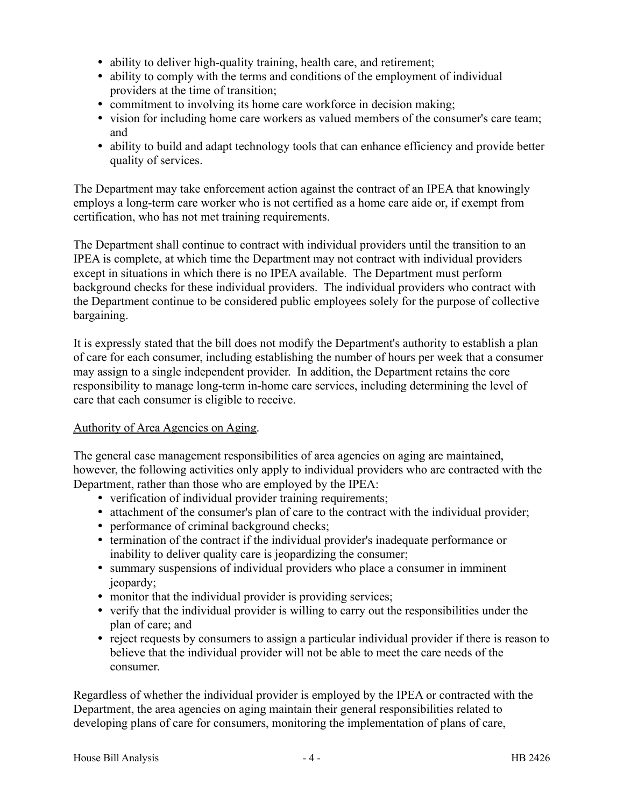- ability to deliver high-quality training, health care, and retirement;
- ability to comply with the terms and conditions of the employment of individual providers at the time of transition;
- commitment to involving its home care workforce in decision making;
- vision for including home care workers as valued members of the consumer's care team; and
- ability to build and adapt technology tools that can enhance efficiency and provide better quality of services.

The Department may take enforcement action against the contract of an IPEA that knowingly employs a long-term care worker who is not certified as a home care aide or, if exempt from certification, who has not met training requirements.

The Department shall continue to contract with individual providers until the transition to an IPEA is complete, at which time the Department may not contract with individual providers except in situations in which there is no IPEA available. The Department must perform background checks for these individual providers. The individual providers who contract with the Department continue to be considered public employees solely for the purpose of collective bargaining.

It is expressly stated that the bill does not modify the Department's authority to establish a plan of care for each consumer, including establishing the number of hours per week that a consumer may assign to a single independent provider. In addition, the Department retains the core responsibility to manage long-term in-home care services, including determining the level of care that each consumer is eligible to receive.

### Authority of Area Agencies on Aging.

The general case management responsibilities of area agencies on aging are maintained, however, the following activities only apply to individual providers who are contracted with the Department, rather than those who are employed by the IPEA:

- verification of individual provider training requirements;
- attachment of the consumer's plan of care to the contract with the individual provider;
- performance of criminal background checks;
- termination of the contract if the individual provider's inadequate performance or inability to deliver quality care is jeopardizing the consumer;
- summary suspensions of individual providers who place a consumer in imminent jeopardy;
- monitor that the individual provider is providing services;
- verify that the individual provider is willing to carry out the responsibilities under the plan of care; and
- reject requests by consumers to assign a particular individual provider if there is reason to believe that the individual provider will not be able to meet the care needs of the consumer.

Regardless of whether the individual provider is employed by the IPEA or contracted with the Department, the area agencies on aging maintain their general responsibilities related to developing plans of care for consumers, monitoring the implementation of plans of care,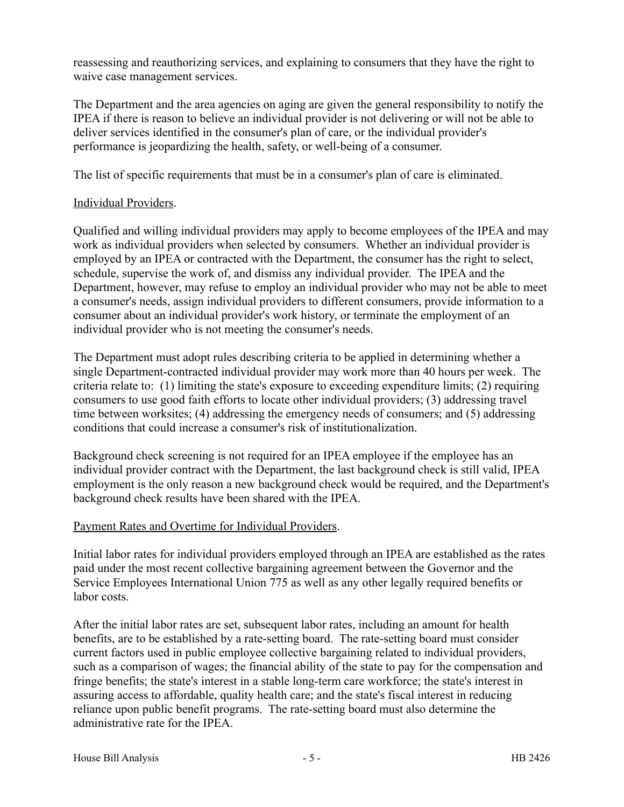reassessing and reauthorizing services, and explaining to consumers that they have the right to waive case management services.

The Department and the area agencies on aging are given the general responsibility to notify the IPEA if there is reason to believe an individual provider is not delivering or will not be able to deliver services identified in the consumer's plan of care, or the individual provider's performance is jeopardizing the health, safety, or well-being of a consumer.

The list of specific requirements that must be in a consumer's plan of care is eliminated.

### Individual Providers.

Qualified and willing individual providers may apply to become employees of the IPEA and may work as individual providers when selected by consumers. Whether an individual provider is employed by an IPEA or contracted with the Department, the consumer has the right to select, schedule, supervise the work of, and dismiss any individual provider. The IPEA and the Department, however, may refuse to employ an individual provider who may not be able to meet a consumer's needs, assign individual providers to different consumers, provide information to a consumer about an individual provider's work history, or terminate the employment of an individual provider who is not meeting the consumer's needs.

The Department must adopt rules describing criteria to be applied in determining whether a single Department-contracted individual provider may work more than 40 hours per week. The criteria relate to: (1) limiting the state's exposure to exceeding expenditure limits; (2) requiring consumers to use good faith efforts to locate other individual providers; (3) addressing travel time between worksites; (4) addressing the emergency needs of consumers; and (5) addressing conditions that could increase a consumer's risk of institutionalization.

Background check screening is not required for an IPEA employee if the employee has an individual provider contract with the Department, the last background check is still valid, IPEA employment is the only reason a new background check would be required, and the Department's background check results have been shared with the IPEA.

## Payment Rates and Overtime for Individual Providers.

Initial labor rates for individual providers employed through an IPEA are established as the rates paid under the most recent collective bargaining agreement between the Governor and the Service Employees International Union 775 as well as any other legally required benefits or labor costs.

After the initial labor rates are set, subsequent labor rates, including an amount for health benefits, are to be established by a rate-setting board. The rate-setting board must consider current factors used in public employee collective bargaining related to individual providers, such as a comparison of wages; the financial ability of the state to pay for the compensation and fringe benefits; the state's interest in a stable long-term care workforce; the state's interest in assuring access to affordable, quality health care; and the state's fiscal interest in reducing reliance upon public benefit programs. The rate-setting board must also determine the administrative rate for the IPEA.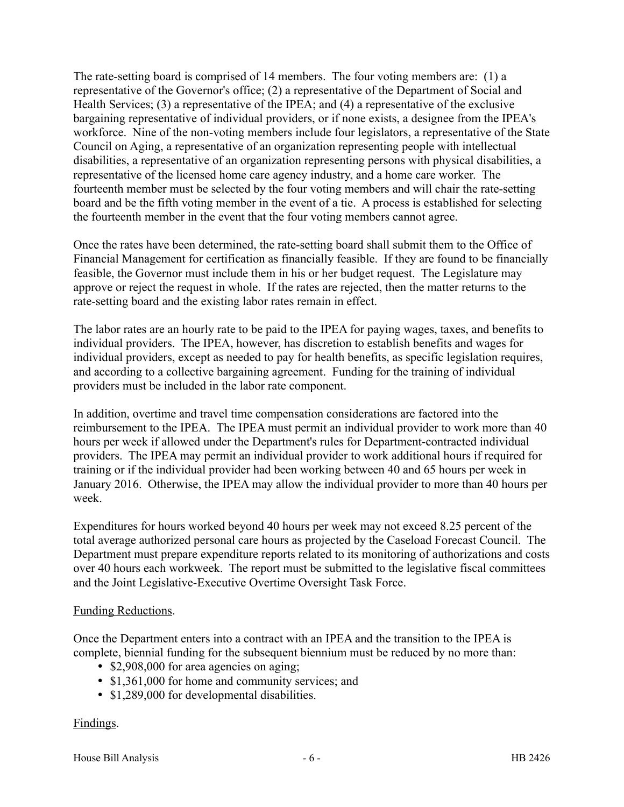The rate-setting board is comprised of 14 members. The four voting members are: (1) a representative of the Governor's office; (2) a representative of the Department of Social and Health Services; (3) a representative of the IPEA; and (4) a representative of the exclusive bargaining representative of individual providers, or if none exists, a designee from the IPEA's workforce. Nine of the non-voting members include four legislators, a representative of the State Council on Aging, a representative of an organization representing people with intellectual disabilities, a representative of an organization representing persons with physical disabilities, a representative of the licensed home care agency industry, and a home care worker. The fourteenth member must be selected by the four voting members and will chair the rate-setting board and be the fifth voting member in the event of a tie. A process is established for selecting the fourteenth member in the event that the four voting members cannot agree.

Once the rates have been determined, the rate-setting board shall submit them to the Office of Financial Management for certification as financially feasible. If they are found to be financially feasible, the Governor must include them in his or her budget request. The Legislature may approve or reject the request in whole. If the rates are rejected, then the matter returns to the rate-setting board and the existing labor rates remain in effect.

The labor rates are an hourly rate to be paid to the IPEA for paying wages, taxes, and benefits to individual providers. The IPEA, however, has discretion to establish benefits and wages for individual providers, except as needed to pay for health benefits, as specific legislation requires, and according to a collective bargaining agreement. Funding for the training of individual providers must be included in the labor rate component.

In addition, overtime and travel time compensation considerations are factored into the reimbursement to the IPEA. The IPEA must permit an individual provider to work more than 40 hours per week if allowed under the Department's rules for Department-contracted individual providers. The IPEA may permit an individual provider to work additional hours if required for training or if the individual provider had been working between 40 and 65 hours per week in January 2016. Otherwise, the IPEA may allow the individual provider to more than 40 hours per week.

Expenditures for hours worked beyond 40 hours per week may not exceed 8.25 percent of the total average authorized personal care hours as projected by the Caseload Forecast Council. The Department must prepare expenditure reports related to its monitoring of authorizations and costs over 40 hours each workweek. The report must be submitted to the legislative fiscal committees and the Joint Legislative-Executive Overtime Oversight Task Force.

### Funding Reductions.

Once the Department enters into a contract with an IPEA and the transition to the IPEA is complete, biennial funding for the subsequent biennium must be reduced by no more than:

- \$2,908,000 for area agencies on aging;
- \$1,361,000 for home and community services; and
- \$1,289,000 for developmental disabilities.

## Findings.